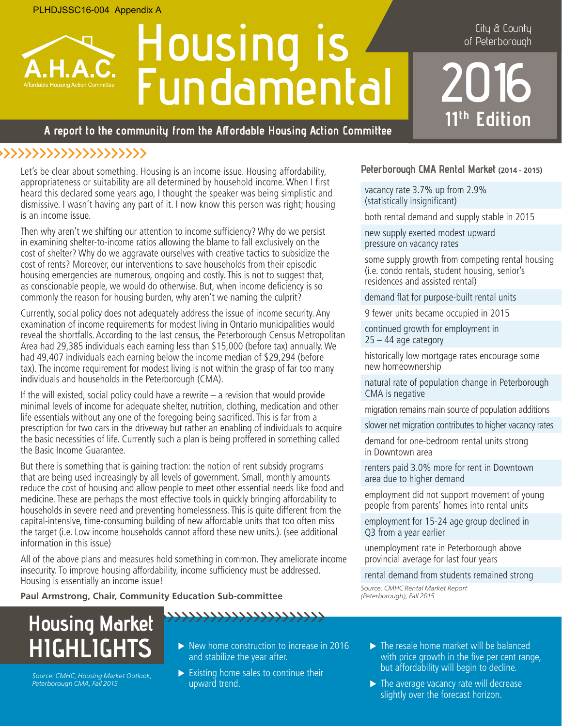# **Housing is Fundamental**

City & County of Peterborough

**2016 11<sup>th</sup>** Edition

#### **A report to the community from the Affordable Housing Action Committee**

## **>>>>>>>>>>>>>>>>>>>>>>>**

Let's be clear about something. Housing is an income issue. Housing affordability, appropriateness or suitability are all determined by household income. When I first heard this declared some years ago, I thought the speaker was being simplistic and dismissive. I wasn't having any part of it. I now know this person was right; housing is an income issue.

Then why aren't we shifting our attention to income sufficiency? Why do we persist in examining shelter-to-income ratios allowing the blame to fall exclusively on the cost of shelter? Why do we aggravate ourselves with creative tactics to subsidize the cost of rents? Moreover, our interventions to save households from their episodic housing emergencies are numerous, ongoing and costly. This is not to suggest that, as conscionable people, we would do otherwise. But, when income deficiency is so commonly the reason for housing burden, why aren't we naming the culprit?

Currently, social policy does not adequately address the issue of income security. Any examination of income requirements for modest living in Ontario municipalities would reveal the shortfalls. According to the last census, the Peterborough Census Metropolitan Area had 29,385 individuals each earning less than \$15,000 (before tax) annually. We had 49,407 individuals each earning below the income median of \$29,294 (before tax). The income requirement for modest living is not within the grasp of far too many individuals and households in the Peterborough (CMA).

If the will existed, social policy could have a rewrite – a revision that would provide minimal levels of income for adequate shelter, nutrition, clothing, medication and other life essentials without any one of the foregoing being sacrificed. This is far from a prescription for two cars in the driveway but rather an enabling of individuals to acquire the basic necessities of life. Currently such a plan is being proffered in something called the Basic Income Guarantee.

But there is something that is gaining traction: the notion of rent subsidy programs that are being used increasingly by all levels of government. Small, monthly amounts reduce the cost of housing and allow people to meet other essential needs like food and medicine. These are perhaps the most effective tools in quickly bringing affordability to households in severe need and preventing homelessness. This is quite different from the capital-intensive, time-consuming building of new affordable units that too often miss the target (i.e. Low income households cannot afford these new units.). (see additional information in this issue)

All of the above plans and measures hold something in common. They ameliorate income insecurity. To improve housing affordability, income sufficiency must be addressed. Housing is essentially an income issue!

**Paul Armstrong, Chair, Community Education Sub-committee**

# **Housing Market HIGHLIGHTS**

Source: CMHC, Housing Market Outlook, Peterborough CMA, Fall 2015

- $\triangleright$  New home construction to increase in 2016 and stabilize the year after.
- $\triangleright$  Existing home sales to continue their upward trend.

**>>>>>>>>>>>>>>>>>>>>>>>**

#### **Peterborough CMA Rental Market (2014 - 2015)**

vacancy rate 3.7% up from 2.9% (statistically insignificant)

both rental demand and supply stable in 2015

new supply exerted modest upward pressure on vacancy rates

some supply growth from competing rental housing (i.e. condo rentals, student housing, senior's residences and assisted rental)

demand flat for purpose-built rental units

9 fewer units became occupied in 2015

continued growth for employment in  $25 - 44$  age category

historically low mortgage rates encourage some new homeownership

natural rate of population change in Peterborough CMA is negative

migration remains main source of population additions

slower net migration contributes to higher vacancy rates

demand for one-bedroom rental units strong in Downtown area

renters paid 3.0% more for rent in Downtown area due to higher demand

employment did not support movement of young people from parents' homes into rental units

employment for 15-24 age group declined in Q3 from a year earlier

unemployment rate in Peterborough above provincial average for last four years

rental demand from students remained strong

Source: CMHC Rental Market Report (Peterborough), Fall 2015

- $\blacktriangleright$  The resale home market will be balanced with price growth in the five per cent range, but affordability will begin to decline.
- $\blacktriangleright$  The average vacancy rate will decrease slightly over the forecast horizon.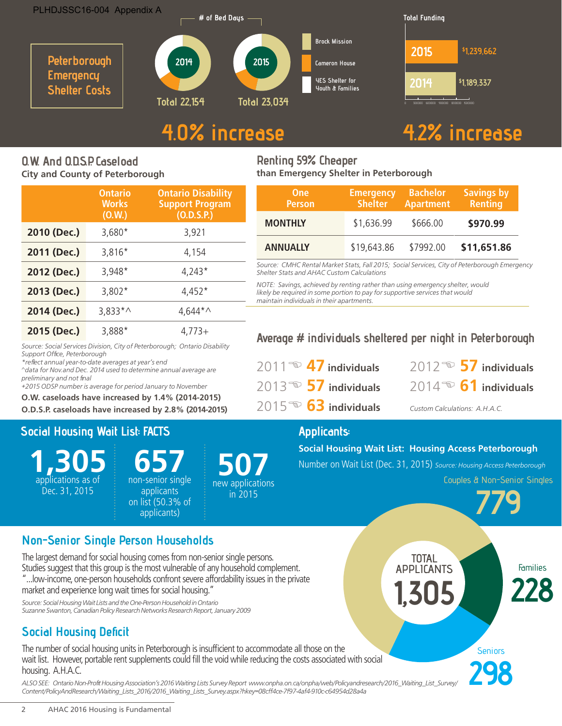



## **4.0% increase 4.2% increase**

## **O.W. And O.D.S.P. Caseload City and County of Peterborough**

|             | <b>Ontario</b><br><b>Works</b><br>(0.W.) | <b>Ontario Disability</b><br><b>Support Program</b><br>(O.D.S.P.) |
|-------------|------------------------------------------|-------------------------------------------------------------------|
| 2010 (Dec.) | $3,680*$                                 | 3,921                                                             |
| 2011 (Dec.) | 3,816*                                   | 4,154                                                             |
| 2012 (Dec.) | 3,948*                                   | $4,243*$                                                          |
| 2013 (Dec.) | $3,802*$                                 | $4,452*$                                                          |
| 2014 (Dec.) | $3,833*$                                 | $4,644*$                                                          |
| 2015 (Dec.) | 3,888*                                   | $4.773+$                                                          |

Source: Social Services Division, City of Peterborough; Ontario Disability

^data for Nov.and Dec. 2014 used to determine annual average are

+2015 ODSP number is average for period January to November **O.W. caseloads have increased by 1.4% (2014-2015) O.D.S.P. caseloads have increased by 2.8% (2014-2015)**

#### **Renting 59% Cheaper than Emergency Shelter in Peterborough**

| <b>One</b><br><b>Person</b> | <b>Emergency</b><br><b>Shelter</b> | <b>Bachelor</b><br><b>Apartment</b> | <b>Savings by</b><br><b>Renting</b> |
|-----------------------------|------------------------------------|-------------------------------------|-------------------------------------|
| <b>MONTHLY</b>              | \$1,636.99                         | \$666.00                            | \$970.99                            |
| <b>ANNUALLY</b>             | \$19,643.86                        | \$7992.00                           | \$11,651.86                         |

Source: CMHC Rental Market Stats, Fall 2015; Social Services, City of Peterborough Emergency Shelter Stats and AHAC Custom Calculations

NOTE: Savings, achieved by renting rather than using emergency shelter, would likely be required in some portion to pay for supportive services that would maintain individuals in their apartments.

## **Average # individuals sheltered per night in Peterborough**

| 2011 $\bullet$ 47 individuals        |  |
|--------------------------------------|--|
| 2013 $\bullet$ 57 individuals        |  |
| $2015^{\circledcirc}$ 63 individuals |  |

 $2012 \n\approx 57$  individuals 2013E **57 individuals** 2014E **61 individuals**

Custom Calculations: A.H.A.C.

## **Applicants:**

**Social Housing Wait List: Housing Access Peterborough**

Number on Wait List (Dec. 31, 2015) Source: Housing Access Peterborough

Couples & Non-Senior Singles

**298**



## **Non-Senior Single Person Households**

**Social Housing Wait List: FACTS**

\*reflect annual year-to-date averages at year's end

**1,305** applications as of Dec. 31, 2015

Support Office, Peterborough

preliminary and not final

The largest demand for social housing comes from non-senior single persons. Studies suggest that this group is the most vulnerable of any household complement. "...low-income, one-person households confront severe affordability issues in the private market and experience long wait times for social housing."

**657** non-senior single

applicants on list (50.3% of applicants)

Source: Social Housing Wait Lists and the One-Person Household in Ontario Suzanne Swanton, Canadian Policy Research Networks Research Report, January 2009

## **Social Housing Deficit**

The number of social housing units in Peterborough is insufficient to accommodate all those on the wait list. However, portable rent supplements could fill the void while reducing the costs associated with social housing. A.H.A.C.

ALSO SEE: Ontario Non-Profit Housing Association's 2016 Waiting Lists Survey Report www.onpha.on.ca/onpha/web/Policyandresearch/2016\_Waiting\_List\_Survey/ Content/PolicyAndResearch/Waiting\_Lists\_2016/2016\_Waiting\_Lists\_Survey.aspx?hkey=08cff4ce-7f97-4af4-910c-c64954d28a4a

**507** new applications in 2015

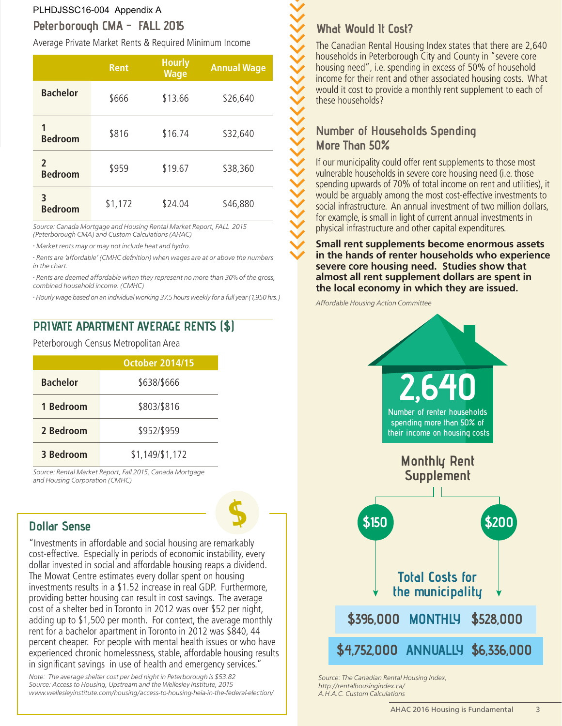## **Peterborough CMA - FALL 2015** PLHDJSSC16-004 Appendix A

Average Private Market Rents & Required Minimum Income

|                                | <b>Rent</b> | <b>Hourly</b><br><b>Wage</b> | <b>Annual Wage</b> |
|--------------------------------|-------------|------------------------------|--------------------|
| <b>Bachelor</b>                | \$666       | \$13.66                      | \$26,640           |
| <b>Bedroom</b>                 | \$816       | \$16.74                      | \$32,640           |
| $\mathbf{c}$<br><b>Bedroom</b> | \$959       | \$19.67                      | \$38,360           |
| 3<br><b>Bedroom</b>            | \$1,172     | \$24.04                      | \$46,880           |

Source: Canada Mortgage and Housing Rental Market Report, FALL 2015 (Peterborough CMA) and Custom Calculations (AHAC)

• Market rents may or may not include heat and hydro.

• Rents are 'affordable' (CMHC definition) when wages are at or above the numbers in the chart.

• Rents are deemed affordable when they represent no more than 30% of the gross, combined household income. (CMHC)

• Hourly wage based on an individual working 37.5 hours weekly for a full year (1,950 hrs.)

## **PRIVATE APARTMENT AVERAGE RENTS (\$)**

Peterborough Census Metropolitan Area

|                 | <b>October 2014/15</b> |
|-----------------|------------------------|
| <b>Bachelor</b> | \$638/\$666            |
| 1 Bedroom       | \$803/\$816            |
| 2 Bedroom       | \$952/\$959            |
| 3 Bedroom       | \$1,149/\$1,172        |

Source: Rental Market Report, Fall 2015, Canada Mortgage and Housing Corporation (CMHC)

## **Dollar Sense**

"Investments in affordable and social housing are remarkably cost-effective. Especially in periods of economic instability, every dollar invested in social and affordable housing reaps a dividend. The Mowat Centre estimates every dollar spent on housing investments results in a \$1.52 increase in real GDP. Furthermore, providing better housing can result in cost savings. The average cost of a shelter bed in Toronto in 2012 was over \$52 per night, adding up to \$1,500 per month. For context, the average monthly rent for a bachelor apartment in Toronto in 2012 was \$840, 44 percent cheaper. For people with mental health issues or who have experienced chronic homelessness, stable, affordable housing results in significant savings in use of health and emergency services."

**\$**

Note: The average shelter cost per bed night in Peterborough is \$53.82 Source: Access to Housing, Upstream and the Wellesley Institute, 2015 www.wellesleyinstitute.com/housing/access-to-housing-heia-in-the-federal-election/

## **What Would It Cost?**

**>>>>>>>>>>>>>>>>>>>>>>>>>>>>>>**

The Canadian Rental Housing Index states that there are 2,640 households in Peterborough City and County in "severe core housing need", i.e. spending in excess of 50% of household income for their rent and other associated housing costs. What would it cost to provide a monthly rent supplement to each of these households?

## **Number of Households Spending More Than 50%**

If our municipality could offer rent supplements to those most vulnerable households in severe core housing need (i.e. those spending upwards of 70% of total income on rent and utilities), it would be arguably among the most cost-effective investments to social infrastructure. An annual investment of two million dollars, for example, is small in light of current annual investments in physical infrastructure and other capital expenditures.

**Small rent supplements become enormous assets in the hands of renter households who experience severe core housing need. Studies show that almost all rent supplement dollars are spent in the local economy in which they are issued.**

Affordable Housing Action Committee



Source: The Canadian Rental Housing Index, http://rentalhousingindex.ca/ A.H.A.C. Custom Calculations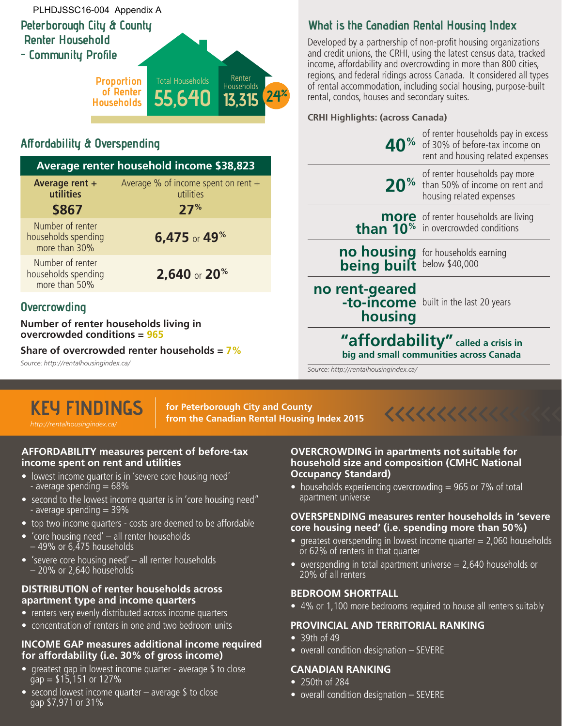## **Peterborough City & County Renter Household - Community Profile** PLHDJSSC16-004 Appendix A



## **Affordability & Overspending**

|                                                          | Average renter household income \$38,823                  |
|----------------------------------------------------------|-----------------------------------------------------------|
| Average rent +<br>utilities<br>\$867                     | Average % of income spent on rent $+$<br>utilities<br>27% |
| Number of renter<br>households spending<br>more than 30% | 6,475 or 49 <sup>%</sup>                                  |
| Number of renter<br>households spending<br>more than 50% | 2,640 or 20 <sup>%</sup>                                  |
|                                                          |                                                           |

## **Overcrowding**

**Number of renter households living in overcrowded conditions = 965**

**Share of overcrowded renter households = 7%**

Source: http://rentalhousingindex.ca/

## **KEY FINDINGS** http://rentalhousingindex.ca/

**for Peterborough City and County from the Canadian Rental Housing Index 2015 >>>>>>>>>>>>>>>>>**

#### **AFFORDABILITY measures percent of before-tax income spent on rent and utilities**

- lowest income quarter is in 'severe core housing need' - average spending  $= 68\%$
- second to the lowest income quarter is in 'core housing need" - average spending  $=$  39%
- top two income quarters costs are deemed to be affordable
- 'core housing need' all renter households  $-$  49% or 6.475 households
- 'severe core housing need' all renter households – 20% or 2,640 households

#### **DISTRIBUTION of renter households across apartment type and income quarters**

- renters very evenly distributed across income quarters
- concentration of renters in one and two bedroom units

#### **INCOME GAP measures additional income required for affordability (i.e. 30% of gross income)**

- greatest gap in lowest income quarter average \$ to close  $gap = $15,151$  or 127%
- second lowest income quarter  $-$  average \$ to close gap \$7,971 or 31%

## **What is the Canadian Rental Housing Index**

Developed by a partnership of non-profit housing organizations and credit unions, the CRHI, using the latest census data, tracked income, affordability and overcrowding in more than 800 cities, regions, and federal ridings across Canada. It considered all types of rental accommodation, including social housing, purpose-built rental, condos, houses and secondary suites.

#### **CRHI Highlights: (across Canada)**

|                                                                                  | of renter households pay in excess<br>40% of 30% of before-tax income on<br>rent and housing related expenses |
|----------------------------------------------------------------------------------|---------------------------------------------------------------------------------------------------------------|
|                                                                                  | of renter households pay more<br>20 <sup>%</sup> than 50% of income on rent and<br>housing related expenses   |
|                                                                                  | more of renter households are living<br>than 10 <sup>%</sup> in overcrowded conditions                        |
|                                                                                  | no housing for households earning<br>being built below \$40,000                                               |
| <b>no rent-geared</b><br><b>-to-income</b> built in the last 20 years<br>housing |                                                                                                               |
|                                                                                  | "affordability" called a crisis in<br>big and small communities across Canada                                 |

Source: http://rentalhousingindex.ca/



#### **OVERCROWDING in apartments not suitable for household size and composition (CMHC National Occupancy Standard)**

• households experiencing overcrowding  $= 965$  or 7% of total apartment universe

#### **OVERSPENDING measures renter households in 'severe core housing need' (i.e. spending more than 50%)**

- greatest overspending in lowest income quarter  $= 2,060$  households or 62% of renters in that quarter
- overspending in total apartment universe  $= 2,640$  households or 20% of all renters

#### **BEDROOM SHORTFALL**

• 4% or 1,100 more bedrooms required to house all renters suitably

## **PROVINCIAL AND TERRITORIAL RANKING**

- 39th of 49
- overall condition designation SEVERE

#### **CANADIAN RANKING**

- 250th of 284
- overall condition designation SEVERE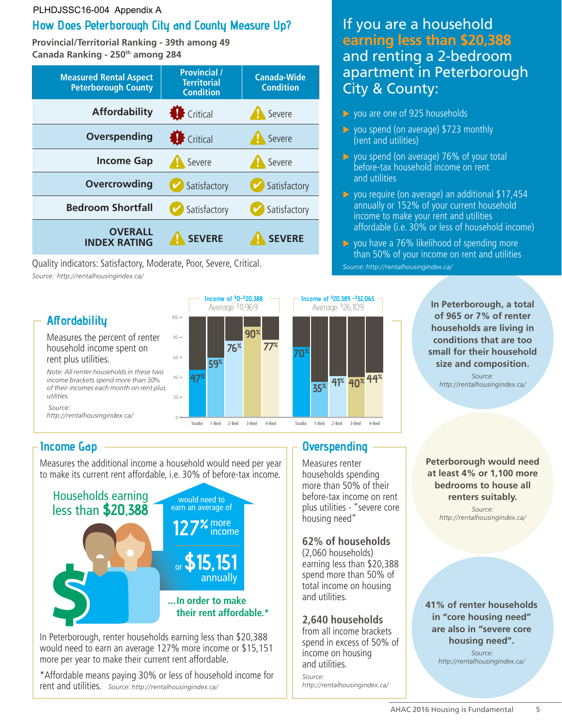#### PLHDJSSC16-004 Appendix A

## **How Does Peterborough City and County Measure Up?**

**Provincial/Territorial Ranking - 39th among 49 Canada Ranking - 250th among 284**

| <b>Measured Rental Aspect</b><br><b>Peterborough County</b> | <b>Provincial /</b><br><b>Territorial</b><br><b>Condition</b> | <b>Canada-Wide</b><br><b>Condition</b> |
|-------------------------------------------------------------|---------------------------------------------------------------|----------------------------------------|
| <b>Affordability</b>                                        | <b>B</b> Critical                                             | Severe                                 |
| Overspending                                                | <b>Critical</b>                                               | Severe                                 |
| <b>Income Gap</b>                                           | Severe                                                        | Severe                                 |
| Overcrowding                                                | Satisfactory                                                  | Satisfactory                           |
| <b>Bedroom Shortfall</b>                                    | Satisfactory                                                  | Satisfactory                           |
| <b>OVERALL</b><br><b>INDEX RATING</b>                       | <b>SEVERE</b>                                                 | <b>SEVERE</b>                          |

Quality indicators: Satisfactory, Moderate, Poor, Severe, Critical. Source: http://rentalhousingindex.ca/

## **Affordability**

Measures the percent of renter household income spent on rent plus utilities.

Note: All renter households in these two income brackets spend more than 30% of their incomes each month on rent plus utilities.  $\overline{\phantom{a}}$ 

 Source: suditions.<br>http://rentalhousingindex.ca/



## **Income Gap**

(Av. \$26,109)

Measures the additional income a household would need per year to make its current rent affordable, i.e. 30% of before-tax income.



In Peterborough, renter households earning less than \$20,388 would need to earn an average 127% more income or \$15,151 more per year to make their current rent affordable.

\*Affordable means paying 30% or less of household income for rent and utilities. Source: http://rentalhousingindex.ca/

## If you are a household **earning less than \$20,388** and renting a 2-bedroom apartment in Peterborough City & County:

- $\triangleright$  you are one of 925 households
- $\triangleright$  you spend (on average) \$723 monthly (rent and utilities)
- $\triangleright$  you spend (on average) 76% of your total before-tax household income on rent and utilities
- $\triangleright$  you require (on average) an additional \$17,454 annually or 152% of your current household income to make your rent and utilities affordable (i.e. 30% or less of household income)
- $\triangleright$  you have a 76% likelihood of spending more than 50% of your income on rent and utilities Source: http://rentalhousingindex.ca/

**In Peterborough, a total of 965 or 7% of renter households are living in conditions that are too small for their household size and composition.**

Source: http://rentalhousingindex.ca/

Measures renter households spending more than 50% of their before-tax income on rent plus utilities - "severe core housing need"

## **62% of households**

**Overspending**

(2,060 households) earning less than \$20,388 spend more than 50% of total income on housing and utilities.

#### **2,640 households**

from all income brackets spend in excess of 50% of income on housing and utilities. Source:

http://rentalhousingindex.ca/

**Peterborough would need at least 4% or 1,100 more bedrooms to house all renters suitably.**

Source: http://rentalhousingindex.ca/

#### **41% of renter households in "core housing need" are also in "severe core housing need".**

 Source: http://rentalhousingindex.ca/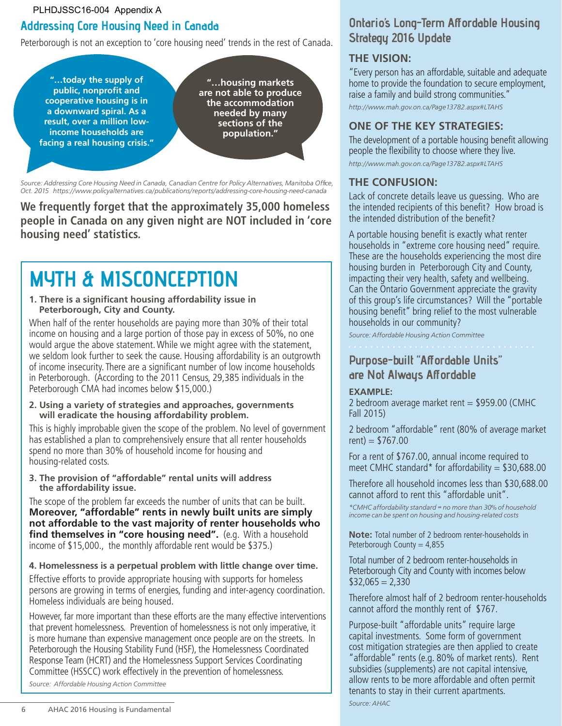PLHDJSSC16-004 Appendix A

## **Addressing Core Housing Need in Canada**

Peterborough is not an exception to 'core housing need' trends in the rest of Canada.

**"…today the supply of public, nonprofit and cooperative housing is in a downward spiral. As a result, over a million lowincome households are facing a real housing crisis."**

**"…housing markets are not able to produce the accommodation needed by many sections of the population."**

Source: Addressing Core Housing Need in Canada, Canadian Centre for Policy Alternatives, Manitoba Office, Oct. 2015 https://www.policyalternatives.ca/publications/reports/addressing-core-housing-need-canada

**We frequently forget that the approximately 35,000 homeless people in Canada on any given night are NOT included in 'core housing need' statistics.** 

# **MYTH & MISCONCEPTION**

**1. There is a significant housing affordability issue in Peterborough, City and County.**

When half of the renter households are paying more than 30% of their total income on housing and a large portion of those pay in excess of 50%, no one would argue the above statement. While we might agree with the statement, we seldom look further to seek the cause. Housing affordability is an outgrowth of income insecurity. There are a significant number of low income households in Peterborough. (According to the 2011 Census, 29,385 individuals in the Peterborough CMA had incomes below \$15,000.)

**2. Using a variety of strategies and approaches, governments will eradicate the housing affordability problem.**

This is highly improbable given the scope of the problem. No level of government has established a plan to comprehensively ensure that all renter households spend no more than 30% of household income for housing and housing-related costs.

**3. The provision of "affordable" rental units will address the affordability issue.**

The scope of the problem far exceeds the number of units that can be built. **Moreover, "affordable" rents in newly built units are simply not affordable to the vast majority of renter households who find themselves in "core housing need".** (e.g. With a household income of \$15,000., the monthly affordable rent would be \$375.)

#### **4. Homelessness is a perpetual problem with little change over time.**

Effective efforts to provide appropriate housing with supports for homeless persons are growing in terms of energies, funding and inter-agency coordination. Homeless individuals are being housed.

However, far more important than these efforts are the many effective interventions that prevent homelessness. Prevention of homelessness is not only imperative, it is more humane than expensive management once people are on the streets. In Peterborough the Housing Stability Fund (HSF), the Homelessness Coordinated Response Team (HCRT) and the Homelessness Support Services Coordinating Committee (HSSCC) work effectively in the prevention of homelessness. Source: Affordable Housing Action Committee

## **Ontario's Long-Term Affordable Housing Strategy 2016 Update**

#### **THE VISION:**

"Every person has an affordable, suitable and adequate home to provide the foundation to secure employment, raise a family and build strong communities."

http://www.mah.gov.on.ca/Page13782.aspx#LTAHS

#### **ONE OF THE KEY STRATEGIES:**

The development of a portable housing benefit allowing people the flexibility to choose where they live. http://www.mah.gov.on.ca/Page13782.aspx#LTAHS

#### **THE CONFUSION:**

Lack of concrete details leave us guessing. Who are the intended recipients of this benefit? How broad is the intended distribution of the benefit?

A portable housing benefit is exactly what renter households in "extreme core housing need" require. These are the households experiencing the most dire housing burden in Peterborough City and County, impacting their very health, safety and wellbeing. Can the Ontario Government appreciate the gravity of this group's life circumstances? Will the "portable housing benefit" bring relief to the most vulnerable households in our community?

Source: Affordable Housing Action Committee

## **Purpose-built "Affordable Units" are Not Always Affordable**

#### **EXAMPLE:**

2 bedroom average market rent = \$959.00 (CMHC Fall 2015)

2 bedroom "affordable" rent (80% of average market  $rent) = $767.00$ 

For a rent of \$767.00, annual income required to meet CMHC standard\* for affordability =  $$30,688.00$ 

Therefore all household incomes less than \$30,688.00 cannot afford to rent this "affordable unit".

\*CMHC affordability standard = no more than 30% of household income can be spent on housing and housing-related costs

**Note:** Total number of 2 bedroom renter-households in Peterborough County =  $4,855$ 

Total number of 2 bedroom renter-households in Peterborough City and County with incomes below  $$32,065 = 2,330$ 

Therefore almost half of 2 bedroom renter-households cannot afford the monthly rent of \$767.

Purpose-built "affordable units" require large capital investments. Some form of government cost mitigation strategies are then applied to create "affordable" rents (e.g. 80% of market rents). Rent subsidies (supplements) are not capital intensive, allow rents to be more affordable and often permit tenants to stay in their current apartments. Source: AHAC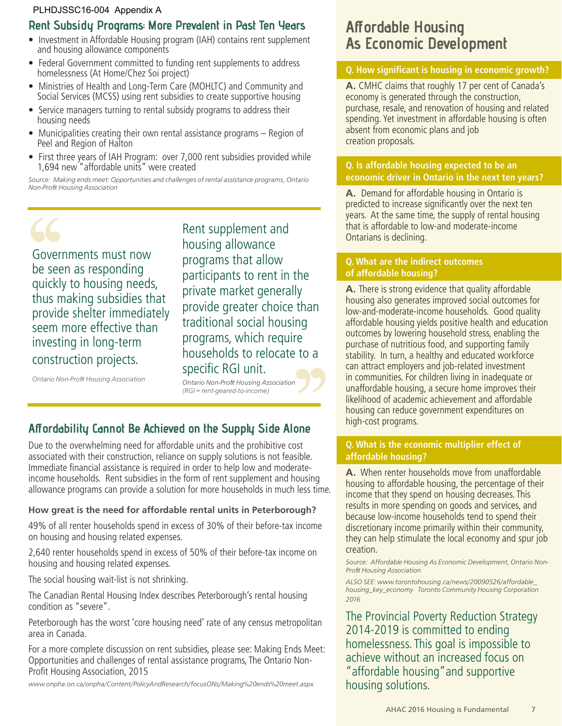#### PLHDJSSC16-004 Appendix A

#### **Rent Subsidy Programs: More Prevalent in Past Ten Years**

- Investment in Affordable Housing program (IAH) contains rent supplement and housing allowance components
- Federal Government committed to funding rent supplements to address homelessness (At Home/Chez Soi project)
- Ministries of Health and Long-Term Care (MOHLTC) and Community and Social Services (MCSS) using rent subsidies to create supportive housing
- Service managers turning to rental subsidy programs to address their housing needs
- Municipalities creating their own rental assistance programs Region of Peel and Region of Halton
- First three years of IAH Program: over 7,000 rent subsidies provided while 1,694 new "affordable units" were created

Source: Making ends meet: Opportunities and challenges of rental assistance programs, Ontario Non-Profit Housing Association



Rent supplement and housing allowance programs that allow participants to rent in the private market generally provide greater choice than traditional social housing programs, which require households to relocate to a specific RGI unit.

Ontario Non-Profit Housing Association

Ontario Non-Profit Housing Association (RGI = rent-geared-to-income)

## **Affordability Cannot Be Achieved on the Supply Side Alone**

Due to the overwhelming need for affordable units and the prohibitive cost associated with their construction, reliance on supply solutions is not feasible. Immediate financial assistance is required in order to help low and moderateincome households. Rent subsidies in the form of rent supplement and housing allowance programs can provide a solution for more households in much less time.

## **How great is the need for affordable rental units in Peterborough?**

49% of all renter households spend in excess of 30% of their before-tax income on housing and housing related expenses.

2,640 renter households spend in excess of 50% of their before-tax income on housing and housing related expenses.

The social housing wait-list is not shrinking.

The Canadian Rental Housing Index describes Peterborough's rental housing condition as "severe".

Peterborough has the worst 'core housing need' rate of any census metropolitan area in Canada.

For a more complete discussion on rent subsidies, please see: Making Ends Meet: Opportunities and challenges of rental assistance programs, The Ontario Non-Profit Housing Association, 2015

www.onpha.on.ca/onpha/Content/PolicyAndResearch/focusONs/Making%20ends%20meet.aspx

## **Affordable Housing As Economic Development**

#### **Q. How significant is housing in economic growth?**

**A.** CMHC claims that roughly 17 per cent of Canada's economy is generated through the construction, purchase, resale, and renovation of housing and related spending. Yet investment in affordable housing is often absent from economic plans and job creation proposals.

#### **Q. Is affordable housing expected to be an economic driver in Ontario in the next ten years?**

**A.** Demand for affordable housing in Ontario is predicted to increase significantly over the next ten years. At the same time, the supply of rental housing that is affordable to low-and moderate-income Ontarians is declining.

#### **Q. What are the indirect outcomes of affordable housing?**

**A.** There is strong evidence that quality affordable housing also generates improved social outcomes for low-and-moderate-income households. Good quality affordable housing yields positive health and education outcomes by lowering household stress, enabling the purchase of nutritious food, and supporting family stability. In turn, a healthy and educated workforce can attract employers and job-related investment in communities. For children living in inadequate or unaffordable housing, a secure home improves their likelihood of academic achievement and affordable housing can reduce government expenditures on high-cost programs.

#### **Q. What is the economic multiplier effect of affordable housing?**

**A.** When renter households move from unaffordable housing to affordable housing, the percentage of their income that they spend on housing decreases. This results in more spending on goods and services, and because low-income households tend to spend their discretionary income primarily within their community, they can help stimulate the local economy and spur job creation.

Source: Affordable Housing As Economic Development, Ontario Non-Profit Housing Association

ALSO SEE: www.torontohousing.ca/news/20090526/affordable\_ housing\_key\_economy Toronto Community Housing Corporation 2016

The Provincial Poverty Reduction Strategy 2014-2019 is committed to ending homelessness. This goal is impossible to achieve without an increased focus on "affordable housing"and supportive housing solutions.